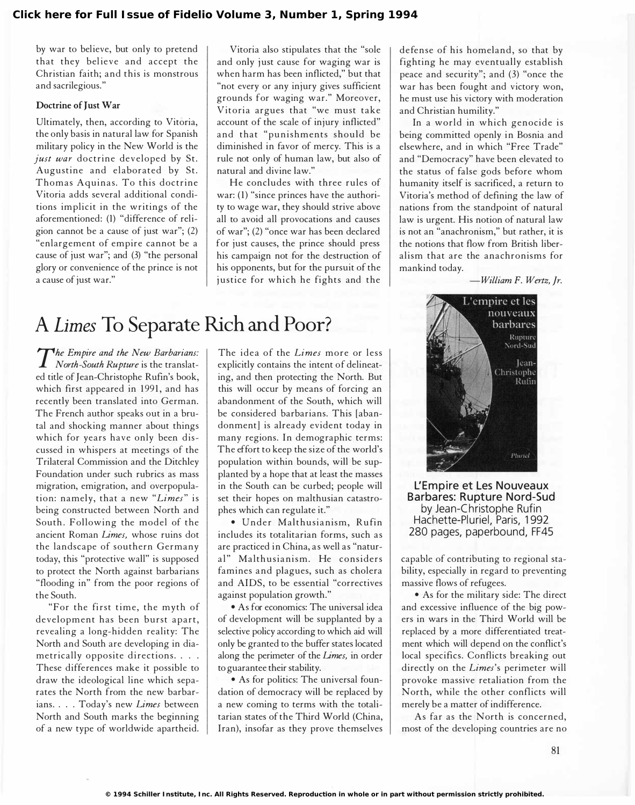by war to believe, but only to pretend that they believe and accept the Christian faith; and this is monstrous and sacrilegious."

### Doctrine of Just War

Ultimately, then, according to Vitoria, the only basis in natural law for Spanish military policy in the New World is the just war doctrine developed by St. Augustine and elaborated by St. Thomas Aquinas. To this doctrine Vitoria adds several additional conditions implicit in the writings of the aforementioned: (1) "difference of religion cannot be a cause of just war"; (2) "enlargement of empire cannot be a cause of just war"; and (3) "the personal glory or convenience of the prince is not a cause of just war."

Vitoria also stipulates that the "sole and only just cause for waging war is when harm has been inflicted," but that "not every or any injury gives sufficient grounds for waging war." Moreover, Vitoria argues that "we must take account of the scale of injury inflicted" and that "punishments should be diminished in favor of mercy. This is a rule not only of human law, but also of natural and divine law."

He concludes with three rules of war: (1) "since princes have the authority to wage war, they should strive above all to avoid all provocations and causes of war"; (2) "once war has been declared for just causes, the prince should press his campaign not for the destruction of his opponents, but for the pursuit of the justice for which he fights and the

# A Limes To Separate Rich and Poor?

The Empire and the New Barbarians:<br>North-South Rupture is the translat-The Empire and the New Barbarians: ed title of Jean-Christophe Rufin's book, which first appeared in 1991, and has recently been translated into German. The French author speaks out in a brutal and shocking manner about things which for years have only been discussed in whispers at meetings of the Trilateral Commission and the Ditchley Foundation under such rubrics as mass migration, emigration, and overpopulation: namely, that a new "Limes" is being constructed between North and South. Following the model of the ancient Roman Limes, whose ruins dot the landscape of southern Germany today, this "protective wall" is supposed to protect the North against barbarians "flooding in" from the poor regions of the South.

"For the first time, the myth of development has been burst apart, revealing a long-hidden reality: The North and South are developing in diametrically opposite directions. . . . These differences make it possible to draw the ideological line which separates the North from the new barbarians. . . . Today's new Limes between North and South marks the beginning of a new type of worldwide apartheid. The idea of the Limes more or less explicitly contains the intent of delineating, and then protecting the North. But this will occur by means of forcing an abandonment of the South, which will be considered barbarians. This [abandonment] is already evident today in many regions. In demographic terms: The effort to keep the size of the world's population within bounds, will be supplanted by a hope that at least the masses in the South can be curbed; people will set their hopes on malthusian catastrophes which can regulate it."

• Under Malthusianism, Rufin includes its totalitarian forms, such as are practiced in China, as well as "natural" Malthusianism. He considers famines and plagues, such as cholera and AIDS, to be essential "correctives against population growth."

• As for economics: The universal idea of development will be supplanted by a selective policy according to which aid will only be granted to the buffer states located along the perimeter of the Limes, in order to guarantee their stability.

• As for politics: The universal foundation of democracy will be replaced by a new coming to terms with the totalitarian states of the Third World (China, Iran), insofar as they prove themselves

defense of his homeland, so that by fighting he may eventually establish peace and security"; and (3) "once the war has been fought and victory won, he must use his victory with moderation and Christian humility."

In a world in which genocide is being committed openly in Bosnia and elsewhere, and in which "Free Trade" and "Democracy" have been elevated to the status of false gods before whom humanity itself is sacrificed, a return to Vitoria's method of defining the law of nations from the standpoint of natural law is urgent. His notion of natural law is not an "anachronism," but rather, it is the notions that flow from British liberalism that are the anachronisms for mankind today.

-William F. Wertz, Jr.



L'Empire et Les Nouveaux Barbares: Rupture Nord-Sud by Jean-Christophe Rufin Hachette-Pluriel, Paris, 1992 280 pages, paperbound, FF45

capable of contributing to regional stability, especially in regard to preventing massive flows of refugees.

• As for the military side: The direct and excessive influence of the big powers in wars in the Third World will be replaced by a more differentiated treatment which will depend on the conflict's local specifics. Conflicts breaking out directly on the Limes's perimeter will provoke massive retaliation from the North, while the other conflicts will merely be a matter of indifference.

As far as the North is concerned, most of the developing countries are no